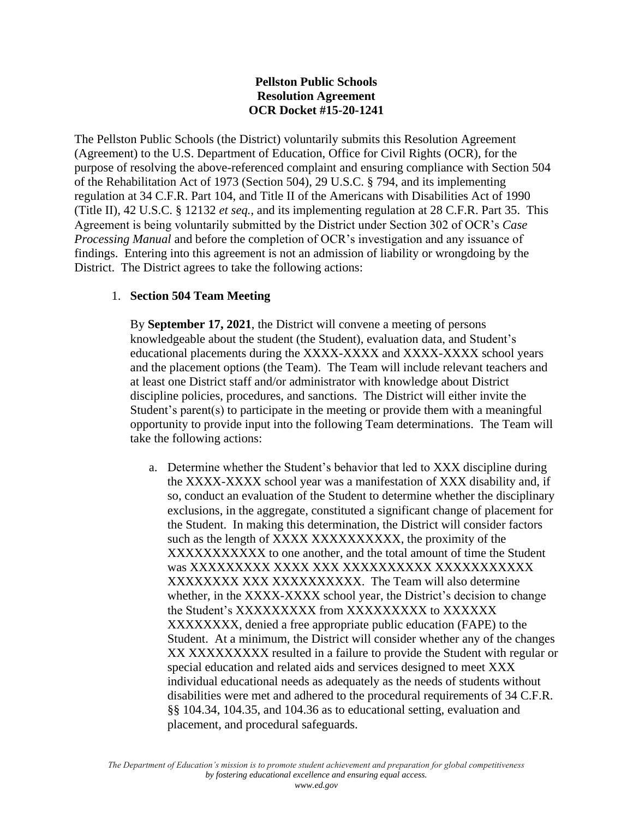# **Pellston Public Schools Resolution Agreement OCR Docket #15-20-1241**

The Pellston Public Schools (the District) voluntarily submits this Resolution Agreement (Agreement) to the U.S. Department of Education, Office for Civil Rights (OCR), for the purpose of resolving the above-referenced complaint and ensuring compliance with Section 504 of the Rehabilitation Act of 1973 (Section 504), 29 U.S.C. § 794, and its implementing regulation at 34 C.F.R. Part 104, and Title II of the Americans with Disabilities Act of 1990 (Title II), 42 U.S.C. § 12132 *et seq.*, and its implementing regulation at 28 C.F.R. Part 35. This Agreement is being voluntarily submitted by the District under Section 302 of OCR's *Case Processing Manual* and before the completion of OCR's investigation and any issuance of findings. Entering into this agreement is not an admission of liability or wrongdoing by the District. The District agrees to take the following actions:

# 1. **Section 504 Team Meeting**

By **September 17, 2021**, the District will convene a meeting of persons knowledgeable about the student (the Student), evaluation data, and Student's educational placements during the XXXX-XXXX and XXXX-XXXX school years and the placement options (the Team). The Team will include relevant teachers and at least one District staff and/or administrator with knowledge about District discipline policies, procedures, and sanctions. The District will either invite the Student's parent(s) to participate in the meeting or provide them with a meaningful opportunity to provide input into the following Team determinations. The Team will take the following actions:

a. Determine whether the Student's behavior that led to XXX discipline during the XXXX-XXXX school year was a manifestation of XXX disability and, if so, conduct an evaluation of the Student to determine whether the disciplinary exclusions, in the aggregate, constituted a significant change of placement for the Student. In making this determination, the District will consider factors such as the length of XXXX XXXXXXXXX, the proximity of the XXXXXXXXXXX to one another, and the total amount of time the Student was XXXXXXXXX XXXX XXX XXXXXXXXXX XXXXXXXXXXX XXXXXXXXXXXXXXXXXXXXXXXXXX. The Team will also determine whether, in the XXXX-XXXX school year, the District's decision to change the Student's XXXXXXXXX from XXXXXXXXX to XXXXXX XXXXXXXX, denied a free appropriate public education (FAPE) to the Student. At a minimum, the District will consider whether any of the changes XX XXXXXXXXX resulted in a failure to provide the Student with regular or special education and related aids and services designed to meet XXX individual educational needs as adequately as the needs of students without disabilities were met and adhered to the procedural requirements of 34 C.F.R. §§ 104.34, 104.35, and 104.36 as to educational setting, evaluation and placement, and procedural safeguards.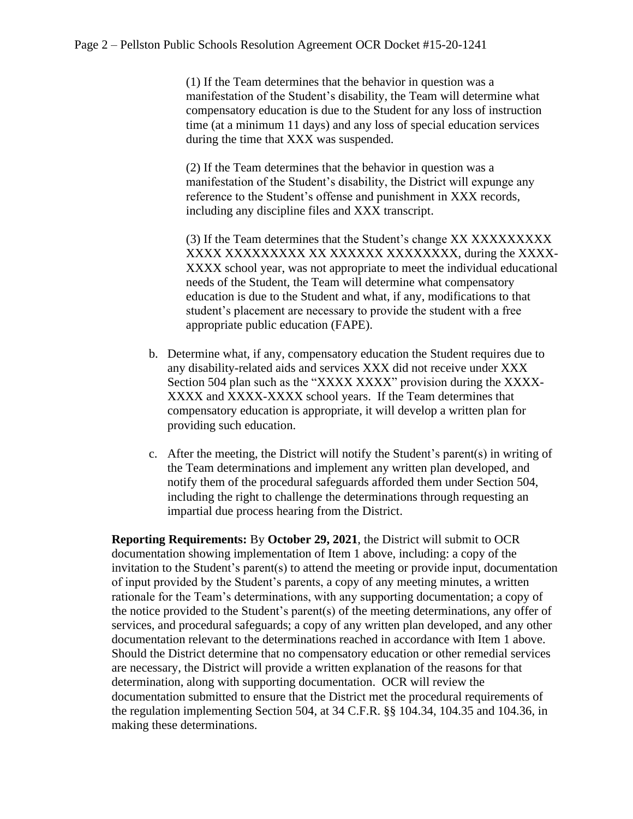(1) If the Team determines that the behavior in question was a manifestation of the Student's disability, the Team will determine what compensatory education is due to the Student for any loss of instruction time (at a minimum 11 days) and any loss of special education services during the time that XXX was suspended.

(2) If the Team determines that the behavior in question was a manifestation of the Student's disability, the District will expunge any reference to the Student's offense and punishment in XXX records, including any discipline files and XXX transcript.

(3) If the Team determines that the Student's change XX XXXXXXXXX XXXX XXXXXXXXX XX XXXXXX XXXXXXXX, during the XXXX-XXXX school year, was not appropriate to meet the individual educational needs of the Student, the Team will determine what compensatory education is due to the Student and what, if any, modifications to that student's placement are necessary to provide the student with a free appropriate public education (FAPE).

- b. Determine what, if any, compensatory education the Student requires due to any disability-related aids and services XXX did not receive under XXX Section 504 plan such as the "XXXX XXXX" provision during the XXXX-XXXX and XXXX-XXXX school years. If the Team determines that compensatory education is appropriate, it will develop a written plan for providing such education.
- c. After the meeting, the District will notify the Student's parent(s) in writing of the Team determinations and implement any written plan developed, and notify them of the procedural safeguards afforded them under Section 504, including the right to challenge the determinations through requesting an impartial due process hearing from the District.

**Reporting Requirements:** By **October 29, 2021**, the District will submit to OCR documentation showing implementation of Item 1 above, including: a copy of the invitation to the Student's parent(s) to attend the meeting or provide input, documentation of input provided by the Student's parents, a copy of any meeting minutes, a written rationale for the Team's determinations, with any supporting documentation; a copy of the notice provided to the Student's parent(s) of the meeting determinations, any offer of services, and procedural safeguards; a copy of any written plan developed, and any other documentation relevant to the determinations reached in accordance with Item 1 above. Should the District determine that no compensatory education or other remedial services are necessary, the District will provide a written explanation of the reasons for that determination, along with supporting documentation. OCR will review the documentation submitted to ensure that the District met the procedural requirements of the regulation implementing Section 504, at 34 C.F.R. §§ 104.34, 104.35 and 104.36, in making these determinations.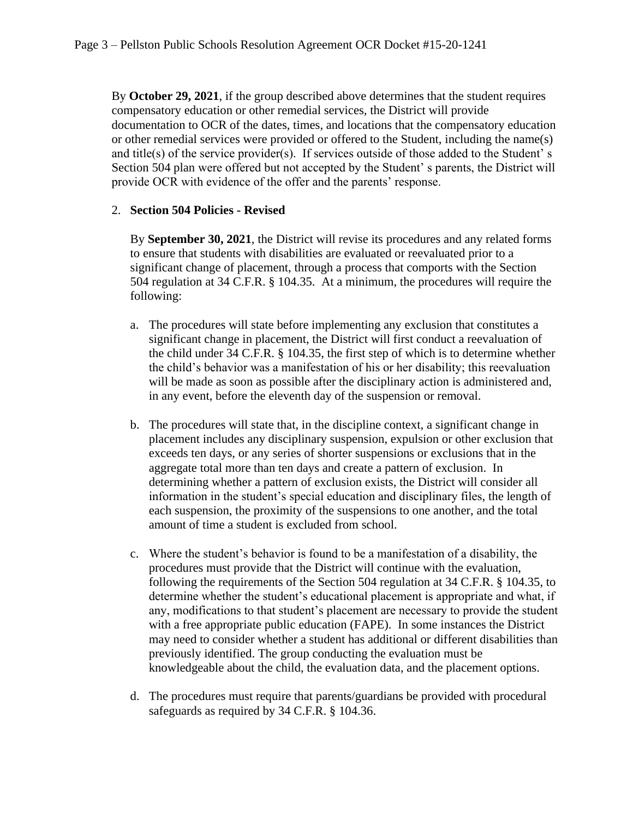By **October 29, 2021**, if the group described above determines that the student requires compensatory education or other remedial services, the District will provide documentation to OCR of the dates, times, and locations that the compensatory education or other remedial services were provided or offered to the Student, including the name(s) and title(s) of the service provider(s). If services outside of those added to the Student' s Section 504 plan were offered but not accepted by the Student' s parents, the District will provide OCR with evidence of the offer and the parents' response.

# 2. **Section 504 Policies - Revised**

By **September 30, 2021**, the District will revise its procedures and any related forms to ensure that students with disabilities are evaluated or reevaluated prior to a significant change of placement, through a process that comports with the Section 504 regulation at 34 C.F.R. § 104.35. At a minimum, the procedures will require the following:

- a. The procedures will state before implementing any exclusion that constitutes a significant change in placement, the District will first conduct a reevaluation of the child under 34 C.F.R. § 104.35, the first step of which is to determine whether the child's behavior was a manifestation of his or her disability; this reevaluation will be made as soon as possible after the disciplinary action is administered and, in any event, before the eleventh day of the suspension or removal.
- b. The procedures will state that, in the discipline context, a significant change in placement includes any disciplinary suspension, expulsion or other exclusion that exceeds ten days, or any series of shorter suspensions or exclusions that in the aggregate total more than ten days and create a pattern of exclusion. In determining whether a pattern of exclusion exists, the District will consider all information in the student's special education and disciplinary files, the length of each suspension, the proximity of the suspensions to one another, and the total amount of time a student is excluded from school.
- c. Where the student's behavior is found to be a manifestation of a disability, the procedures must provide that the District will continue with the evaluation, following the requirements of the Section 504 regulation at 34 C.F.R. § 104.35, to determine whether the student's educational placement is appropriate and what, if any, modifications to that student's placement are necessary to provide the student with a free appropriate public education (FAPE). In some instances the District may need to consider whether a student has additional or different disabilities than previously identified. The group conducting the evaluation must be knowledgeable about the child, the evaluation data, and the placement options.
- d. The procedures must require that parents/guardians be provided with procedural safeguards as required by 34 C.F.R. § 104.36.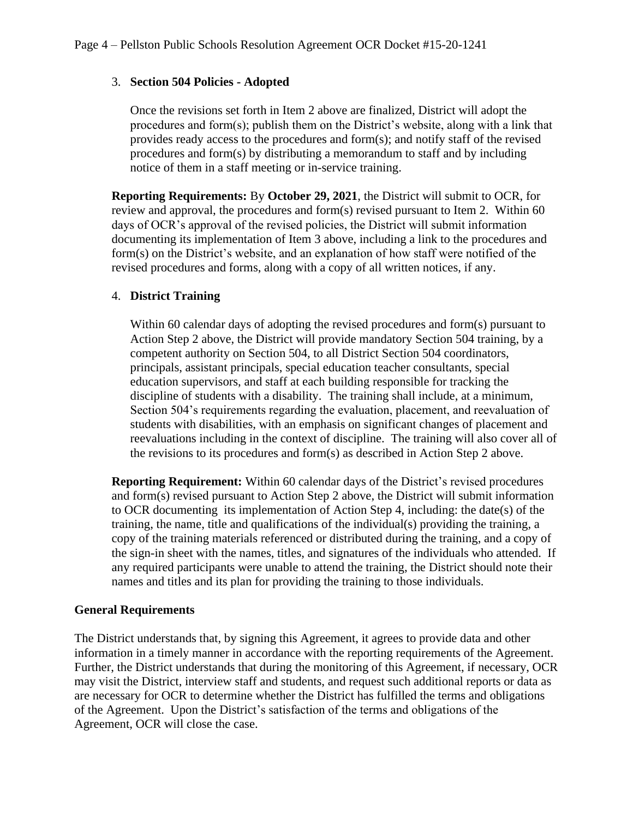## 3. **Section 504 Policies - Adopted**

Once the revisions set forth in Item 2 above are finalized, District will adopt the procedures and form(s); publish them on the District's website, along with a link that provides ready access to the procedures and form(s); and notify staff of the revised procedures and form(s) by distributing a memorandum to staff and by including notice of them in a staff meeting or in-service training.

**Reporting Requirements:** By **October 29, 2021**, the District will submit to OCR, for review and approval, the procedures and form(s) revised pursuant to Item 2. Within 60 days of OCR's approval of the revised policies, the District will submit information documenting its implementation of Item 3 above, including a link to the procedures and form(s) on the District's website, and an explanation of how staff were notified of the revised procedures and forms, along with a copy of all written notices, if any.

## 4. **District Training**

Within 60 calendar days of adopting the revised procedures and form(s) pursuant to Action Step 2 above, the District will provide mandatory Section 504 training, by a competent authority on Section 504, to all District Section 504 coordinators, principals, assistant principals, special education teacher consultants, special education supervisors, and staff at each building responsible for tracking the discipline of students with a disability. The training shall include, at a minimum, Section 504's requirements regarding the evaluation, placement, and reevaluation of students with disabilities, with an emphasis on significant changes of placement and reevaluations including in the context of discipline. The training will also cover all of the revisions to its procedures and form(s) as described in Action Step 2 above.

**Reporting Requirement:** Within 60 calendar days of the District's revised procedures and form(s) revised pursuant to Action Step 2 above, the District will submit information to OCR documenting its implementation of Action Step 4, including: the date(s) of the training, the name, title and qualifications of the individual(s) providing the training, a copy of the training materials referenced or distributed during the training, and a copy of the sign-in sheet with the names, titles, and signatures of the individuals who attended. If any required participants were unable to attend the training, the District should note their names and titles and its plan for providing the training to those individuals.

## **General Requirements**

The District understands that, by signing this Agreement, it agrees to provide data and other information in a timely manner in accordance with the reporting requirements of the Agreement. Further, the District understands that during the monitoring of this Agreement, if necessary, OCR may visit the District, interview staff and students, and request such additional reports or data as are necessary for OCR to determine whether the District has fulfilled the terms and obligations of the Agreement. Upon the District's satisfaction of the terms and obligations of the Agreement, OCR will close the case.